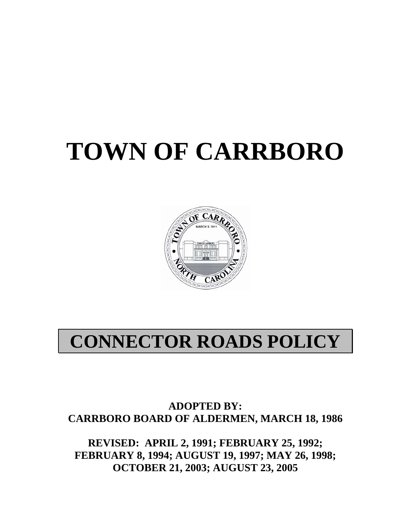# **TOWN OF CARRBORO**



# **CONNECTOR ROADS POLICY**

**ADOPTED BY: CARRBORO BOARD OF ALDERMEN, MARCH 18, 1986** 

**REVISED: APRIL 2, 1991; FEBRUARY 25, 1992; FEBRUARY 8, 1994; AUGUST 19, 1997; MAY 26, 1998; OCTOBER 21, 2003; AUGUST 23, 2005**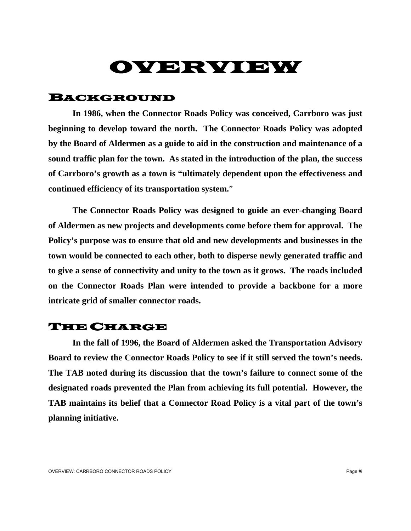# OVERVIEW

#### BACKGROUND

 **In 1986, when the Connector Roads Policy was conceived, Carrboro was just beginning to develop toward the north. The Connector Roads Policy was adopted by the Board of Aldermen as a guide to aid in the construction and maintenance of a sound traffic plan for the town. As stated in the introduction of the plan, the success of Carrboro's growth as a town is "ultimately dependent upon the effectiveness and continued efficiency of its transportation system.**"

 **The Connector Roads Policy was designed to guide an ever-changing Board of Aldermen as new projects and developments come before them for approval. The Policy's purpose was to ensure that old and new developments and businesses in the town would be connected to each other, both to disperse newly generated traffic and to give a sense of connectivity and unity to the town as it grows. The roads included on the Connector Roads Plan were intended to provide a backbone for a more intricate grid of smaller connector roads.** 

#### THE CHARGE

 **In the fall of 1996, the Board of Aldermen asked the Transportation Advisory Board to review the Connector Roads Policy to see if it still served the town's needs. The TAB noted during its discussion that the town's failure to connect some of the designated roads prevented the Plan from achieving its full potential. However, the TAB maintains its belief that a Connector Road Policy is a vital part of the town's planning initiative.**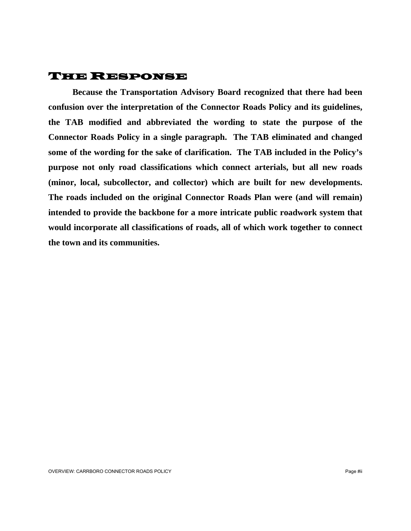### THE RESPONSE

 **Because the Transportation Advisory Board recognized that there had been confusion over the interpretation of the Connector Roads Policy and its guidelines, the TAB modified and abbreviated the wording to state the purpose of the Connector Roads Policy in a single paragraph. The TAB eliminated and changed some of the wording for the sake of clarification. The TAB included in the Policy's purpose not only road classifications which connect arterials, but all new roads (minor, local, subcollector, and collector) which are built for new developments. The roads included on the original Connector Roads Plan were (and will remain) intended to provide the backbone for a more intricate public roadwork system that would incorporate all classifications of roads, all of which work together to connect the town and its communities.**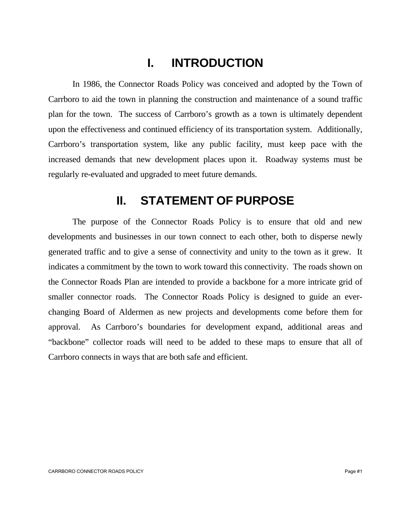# **I. INTRODUCTION**

 In 1986, the Connector Roads Policy was conceived and adopted by the Town of Carrboro to aid the town in planning the construction and maintenance of a sound traffic plan for the town. The success of Carrboro's growth as a town is ultimately dependent upon the effectiveness and continued efficiency of its transportation system. Additionally, Carrboro's transportation system, like any public facility, must keep pace with the increased demands that new development places upon it. Roadway systems must be regularly re-evaluated and upgraded to meet future demands.

### **II. STATEMENT OF PURPOSE**

 The purpose of the Connector Roads Policy is to ensure that old and new developments and businesses in our town connect to each other, both to disperse newly generated traffic and to give a sense of connectivity and unity to the town as it grew. It indicates a commitment by the town to work toward this connectivity. The roads shown on the Connector Roads Plan are intended to provide a backbone for a more intricate grid of smaller connector roads. The Connector Roads Policy is designed to guide an everchanging Board of Aldermen as new projects and developments come before them for approval. As Carrboro's boundaries for development expand, additional areas and "backbone" collector roads will need to be added to these maps to ensure that all of Carrboro connects in ways that are both safe and efficient.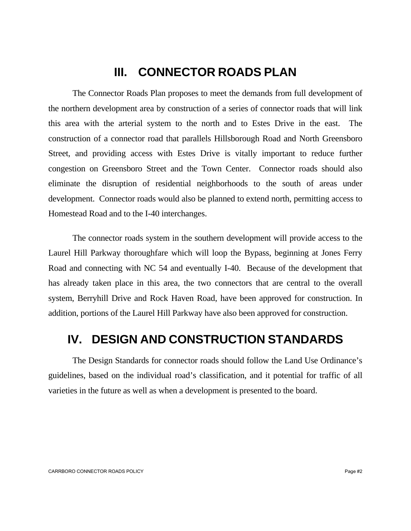### **III. CONNECTOR ROADS PLAN**

 The Connector Roads Plan proposes to meet the demands from full development of the northern development area by construction of a series of connector roads that will link this area with the arterial system to the north and to Estes Drive in the east. The construction of a connector road that parallels Hillsborough Road and North Greensboro Street, and providing access with Estes Drive is vitally important to reduce further congestion on Greensboro Street and the Town Center. Connector roads should also eliminate the disruption of residential neighborhoods to the south of areas under development. Connector roads would also be planned to extend north, permitting access to Homestead Road and to the I-40 interchanges.

 The connector roads system in the southern development will provide access to the Laurel Hill Parkway thoroughfare which will loop the Bypass, beginning at Jones Ferry Road and connecting with NC 54 and eventually I-40. Because of the development that has already taken place in this area, the two connectors that are central to the overall system, Berryhill Drive and Rock Haven Road, have been approved for construction. In addition, portions of the Laurel Hill Parkway have also been approved for construction.

## **IV. DESIGN AND CONSTRUCTION STANDARDS**

 The Design Standards for connector roads should follow the Land Use Ordinance's guidelines, based on the individual road's classification, and it potential for traffic of all varieties in the future as well as when a development is presented to the board.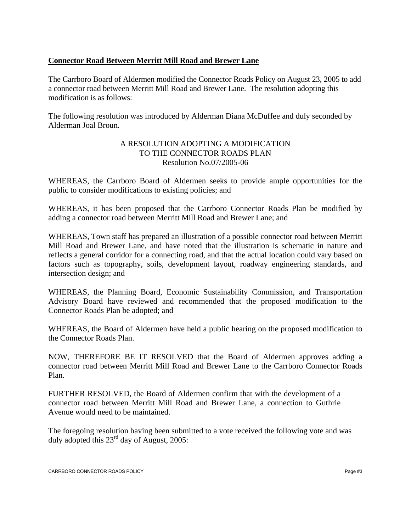#### **Connector Road Between Merritt Mill Road and Brewer Lane**

The Carrboro Board of Aldermen modified the Connector Roads Policy on August 23, 2005 to add a connector road between Merritt Mill Road and Brewer Lane. The resolution adopting this modification is as follows:

The following resolution was introduced by Alderman Diana McDuffee and duly seconded by Alderman Joal Broun.

#### A RESOLUTION ADOPTING A MODIFICATION TO THE CONNECTOR ROADS PLAN Resolution No.07/2005-06

WHEREAS, the Carrboro Board of Aldermen seeks to provide ample opportunities for the public to consider modifications to existing policies; and

WHEREAS, it has been proposed that the Carrboro Connector Roads Plan be modified by adding a connector road between Merritt Mill Road and Brewer Lane; and

WHEREAS, Town staff has prepared an illustration of a possible connector road between Merritt Mill Road and Brewer Lane, and have noted that the illustration is schematic in nature and reflects a general corridor for a connecting road, and that the actual location could vary based on factors such as topography, soils, development layout, roadway engineering standards, and intersection design; and

WHEREAS, the Planning Board, Economic Sustainability Commission, and Transportation Advisory Board have reviewed and recommended that the proposed modification to the Connector Roads Plan be adopted; and

WHEREAS, the Board of Aldermen have held a public hearing on the proposed modification to the Connector Roads Plan.

NOW, THEREFORE BE IT RESOLVED that the Board of Aldermen approves adding a connector road between Merritt Mill Road and Brewer Lane to the Carrboro Connector Roads Plan.

FURTHER RESOLVED, the Board of Aldermen confirm that with the development of a connector road between Merritt Mill Road and Brewer Lane, a connection to Guthrie Avenue would need to be maintained.

The foregoing resolution having been submitted to a vote received the following vote and was duly adopted this  $23<sup>rd</sup>$  day of August, 2005: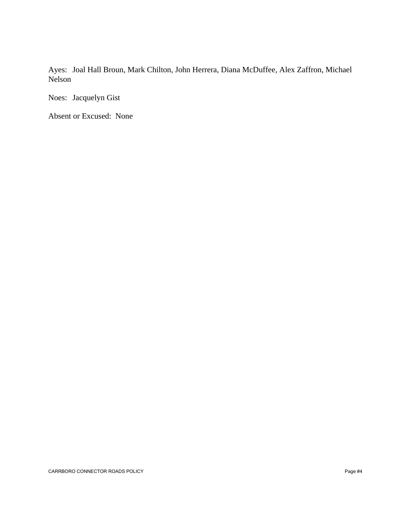Ayes: Joal Hall Broun, Mark Chilton, John Herrera, Diana McDuffee, Alex Zaffron, Michael Nelson

Noes: Jacquelyn Gist

Absent or Excused: None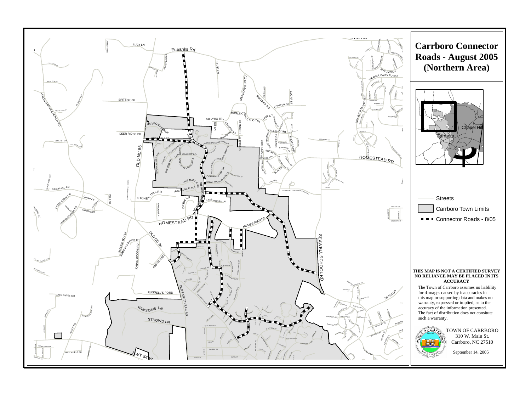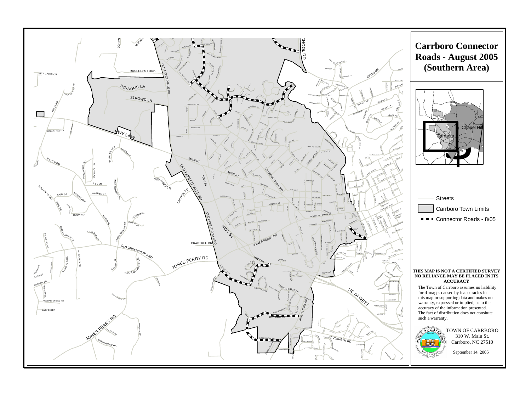